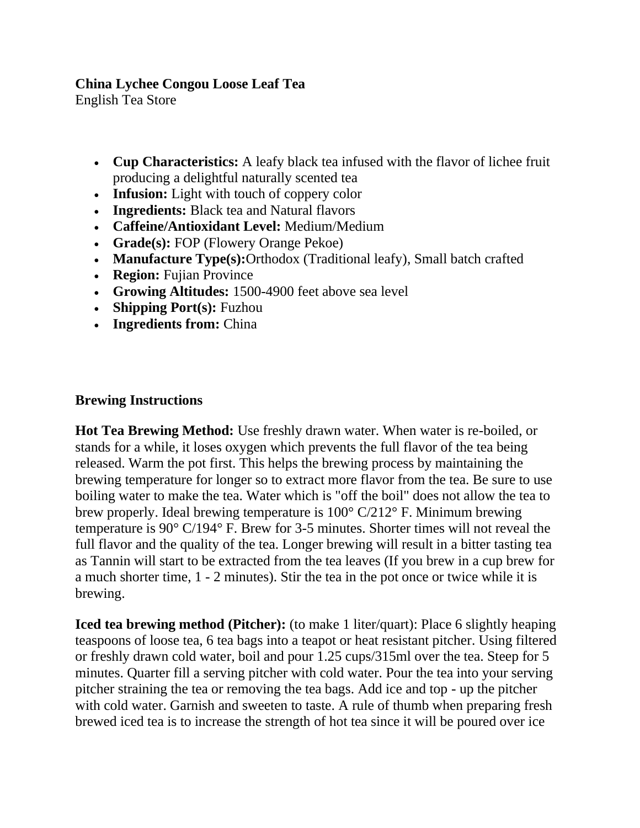## **China Lychee Congou Loose Leaf Tea**

English Tea Store

- **Cup Characteristics:** A leafy black tea infused with the flavor of lichee fruit producing a delightful naturally scented tea
- **Infusion:** Light with touch of coppery color
- **Ingredients:** Black tea and Natural flavors
- **Caffeine/Antioxidant Level:** Medium/Medium
- **Grade(s):** FOP (Flowery Orange Pekoe)
- **Manufacture Type(s):**Orthodox (Traditional leafy), Small batch crafted
- **Region:** Fujian Province
- **Growing Altitudes:** 1500-4900 feet above sea level
- **Shipping Port(s):** Fuzhou
- **Ingredients from:** China

## **Brewing Instructions**

**Hot Tea Brewing Method:** Use freshly drawn water. When water is re-boiled, or stands for a while, it loses oxygen which prevents the full flavor of the tea being released. Warm the pot first. This helps the brewing process by maintaining the brewing temperature for longer so to extract more flavor from the tea. Be sure to use boiling water to make the tea. Water which is "off the boil" does not allow the tea to brew properly. Ideal brewing temperature is 100° C/212° F. Minimum brewing temperature is 90° C/194° F. Brew for 3-5 minutes. Shorter times will not reveal the full flavor and the quality of the tea. Longer brewing will result in a bitter tasting tea as Tannin will start to be extracted from the tea leaves (If you brew in a cup brew for a much shorter time, 1 - 2 minutes). Stir the tea in the pot once or twice while it is brewing.

**Iced tea brewing method (Pitcher):** (to make 1 liter/quart): Place 6 slightly heaping teaspoons of loose tea, 6 tea bags into a teapot or heat resistant pitcher. Using filtered or freshly drawn cold water, boil and pour 1.25 cups/315ml over the tea. Steep for 5 minutes. Quarter fill a serving pitcher with cold water. Pour the tea into your serving pitcher straining the tea or removing the tea bags. Add ice and top - up the pitcher with cold water. Garnish and sweeten to taste. A rule of thumb when preparing fresh brewed iced tea is to increase the strength of hot tea since it will be poured over ice